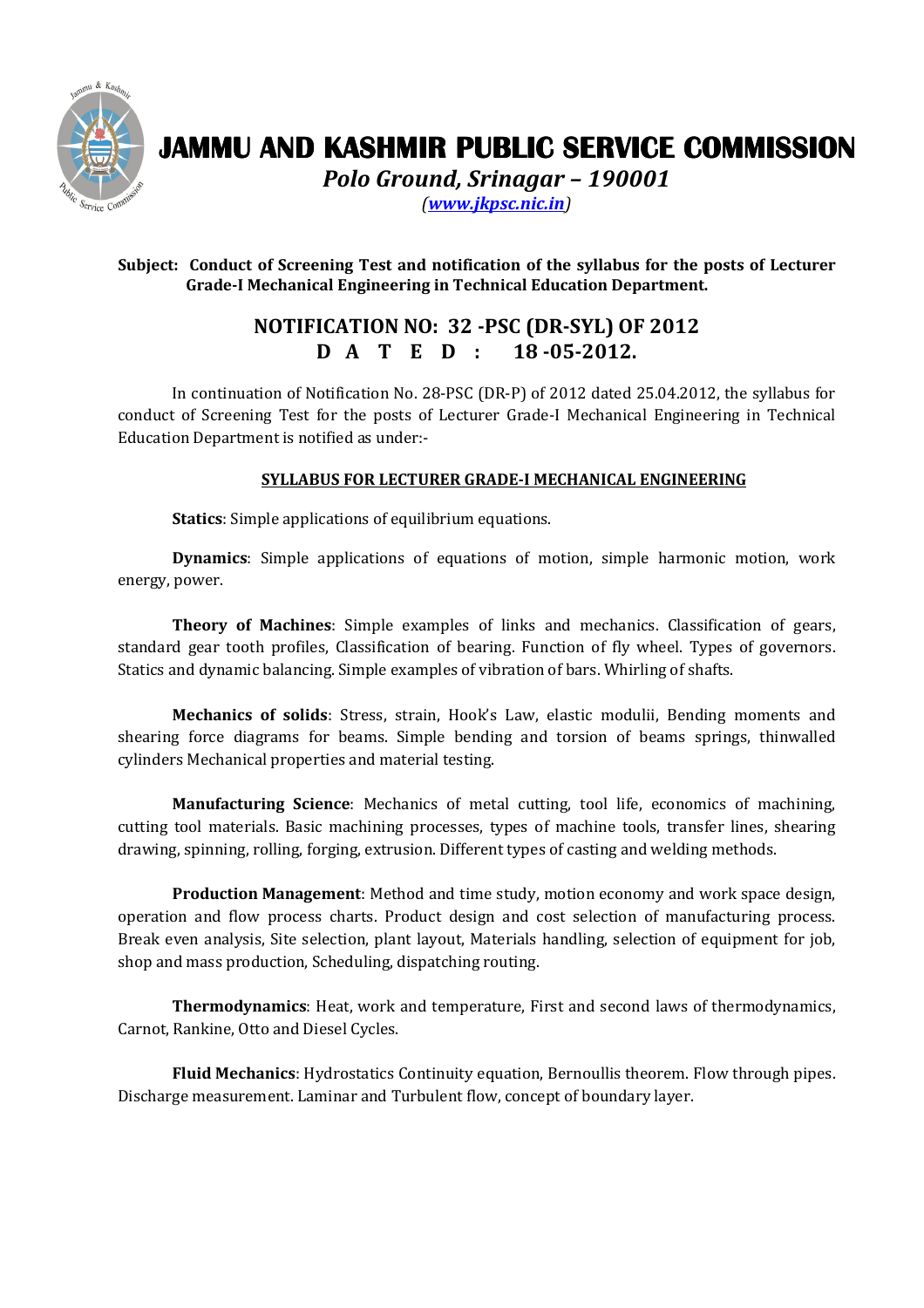

## JAMMU AND KASHMIR PUBLIC SERVICE COMMISSION

Polo Ground, Srinagar – 190001

(www.jkpsc.nic.in)

## Subject: Conduct of Screening Test and notification of the syllabus for the posts of Lecturer Grade-I Mechanical Engineering in Technical Education Department.

## NOTIFICATION NO: 32 -PSC (DR-SYL) OF 2012 D A T E D : 18-05-2012.

 In continuation of Notification No. 28-PSC (DR-P) of 2012 dated 25.04.2012, the syllabus for conduct of Screening Test for the posts of Lecturer Grade-I Mechanical Engineering in Technical Education Department is notified as under:-

## SYLLABUS FOR LECTURER GRADE-I MECHANICAL ENGINEERING

Statics: Simple applications of equilibrium equations.

Dynamics: Simple applications of equations of motion, simple harmonic motion, work energy, power.

Theory of Machines: Simple examples of links and mechanics. Classification of gears, standard gear tooth profiles, Classification of bearing. Function of fly wheel. Types of governors. Statics and dynamic balancing. Simple examples of vibration of bars. Whirling of shafts.

Mechanics of solids: Stress, strain, Hook's Law, elastic modulii, Bending moments and shearing force diagrams for beams. Simple bending and torsion of beams springs, thinwalled cylinders Mechanical properties and material testing.

Manufacturing Science: Mechanics of metal cutting, tool life, economics of machining, cutting tool materials. Basic machining processes, types of machine tools, transfer lines, shearing drawing, spinning, rolling, forging, extrusion. Different types of casting and welding methods.

Production Management: Method and time study, motion economy and work space design, operation and flow process charts. Product design and cost selection of manufacturing process. Break even analysis, Site selection, plant layout, Materials handling, selection of equipment for job, shop and mass production, Scheduling, dispatching routing.

Thermodynamics: Heat, work and temperature, First and second laws of thermodynamics, Carnot, Rankine, Otto and Diesel Cycles.

Fluid Mechanics: Hydrostatics Continuity equation, Bernoullis theorem. Flow through pipes. Discharge measurement. Laminar and Turbulent flow, concept of boundary layer.